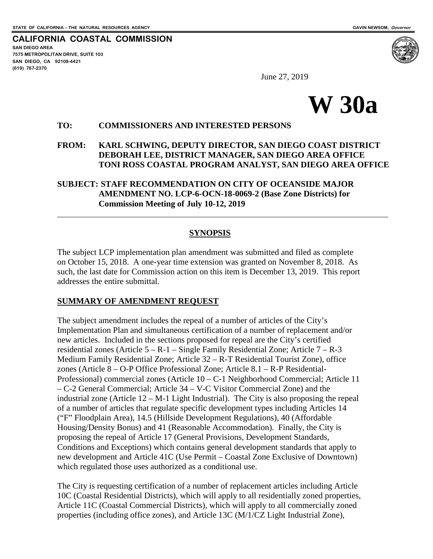**CALIFORNIA COASTAL COMMISSION SAN DIEGO AREA 7575 METROPOLITAN DRIVE, SUITE 103 SAN DIEGO, CA 92108-4421 (619) 767-2370**



June 27, 2019



### **TO: COMMISSIONERS AND INTERESTED PERSONS**

### **FROM: KARL SCHWING, DEPUTY DIRECTOR, SAN DIEGO COAST DISTRICT DEBORAH LEE, DISTRICT MANAGER, SAN DIEGO AREA OFFICE TONI ROSS COASTAL PROGRAM ANALYST, SAN DIEGO AREA OFFICE**

### **SUBJECT: STAFF RECOMMENDATION ON CITY OF OCEANSIDE MAJOR AMENDMENT NO. LCP-6-OCN-18-0069-2 (Base Zone Districts) for Commission Meeting of July 10-12, 2019**

### **SYNOPSIS**

The subject LCP implementation plan amendment was submitted and filed as complete on October 15, 2018. A one-year time extension was granted on November 8, 2018. As such, the last date for Commission action on this item is December 13, 2019. This report addresses the entire submittal.

#### **SUMMARY OF AMENDMENT REQUEST**

The subject amendment includes the repeal of a number of articles of the City's Implementation Plan and simultaneous certification of a number of replacement and/or new articles. Included in the sections proposed for repeal are the City's certified residential zones (Article 5 – R-1 – Single Family Residential Zone; Article 7 – R-3 Medium Family Residential Zone; Article 32 – R-T Residential Tourist Zone), office zones (Article 8 – O-P Office Professional Zone; Article 8.1 – R-P Residential-Professional) commercial zones (Article 10 – C-1 Neighborhood Commercial; Article 11 – C-2 General Commercial; Article 34 – V-C Visitor Commercial Zone) and the industrial zone (Article 12 – M-1 Light Industrial). The City is also proposing the repeal of a number of articles that regulate specific development types including Articles 14 ("F" Floodplain Area), 14.5 (Hillside Development Regulations), 40 (Affordable Housing/Density Bonus) and 41 (Reasonable Accommodation). Finally, the City is proposing the repeal of Article 17 (General Provisions, Development Standards, Conditions and Exceptions) which contains general development standards that apply to new development and Article 41C (Use Permit – Coastal Zone Exclusive of Downtown) which regulated those uses authorized as a conditional use.

The City is requesting certification of a number of replacement articles including Article 10C (Coastal Residential Districts), which will apply to all residentially zoned properties, Article 11C (Coastal Commercial Districts), which will apply to all commercially zoned properties (including office zones), and Article 13C (M/1/CZ Light Industrial Zone),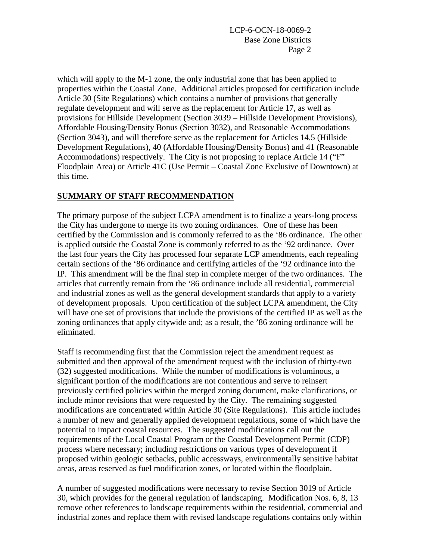which will apply to the M-1 zone, the only industrial zone that has been applied to properties within the Coastal Zone. Additional articles proposed for certification include Article 30 (Site Regulations) which contains a number of provisions that generally regulate development and will serve as the replacement for Article 17, as well as provisions for Hillside Development (Section 3039 – Hillside Development Provisions), Affordable Housing/Density Bonus (Section 3032), and Reasonable Accommodations (Section 3043), and will therefore serve as the replacement for Articles 14.5 (Hillside Development Regulations), 40 (Affordable Housing/Density Bonus) and 41 (Reasonable Accommodations) respectively. The City is not proposing to replace Article 14 ("F" Floodplain Area) or Article 41C (Use Permit – Coastal Zone Exclusive of Downtown) at this time.

### **SUMMARY OF STAFF RECOMMENDATION**

The primary purpose of the subject LCPA amendment is to finalize a years-long process the City has undergone to merge its two zoning ordinances. One of these has been certified by the Commission and is commonly referred to as the '86 ordinance. The other is applied outside the Coastal Zone is commonly referred to as the '92 ordinance. Over the last four years the City has processed four separate LCP amendments, each repealing certain sections of the '86 ordinance and certifying articles of the '92 ordinance into the IP. This amendment will be the final step in complete merger of the two ordinances. The articles that currently remain from the '86 ordinance include all residential, commercial and industrial zones as well as the general development standards that apply to a variety of development proposals. Upon certification of the subject LCPA amendment, the City will have one set of provisions that include the provisions of the certified IP as well as the zoning ordinances that apply citywide and; as a result, the '86 zoning ordinance will be eliminated.

Staff is recommending first that the Commission reject the amendment request as submitted and then approval of the amendment request with the inclusion of thirty-two (32) suggested modifications. While the number of modifications is voluminous, a significant portion of the modifications are not contentious and serve to reinsert previously certified policies within the merged zoning document, make clarifications, or include minor revisions that were requested by the City. The remaining suggested modifications are concentrated within Article 30 (Site Regulations). This article includes a number of new and generally applied development regulations, some of which have the potential to impact coastal resources. The suggested modifications call out the requirements of the Local Coastal Program or the Coastal Development Permit (CDP) process where necessary; including restrictions on various types of development if proposed within geologic setbacks, public accessways, environmentally sensitive habitat areas, areas reserved as fuel modification zones, or located within the floodplain.

A number of suggested modifications were necessary to revise Section 3019 of Article 30, which provides for the general regulation of landscaping. Modification Nos. 6, 8, 13 remove other references to landscape requirements within the residential, commercial and industrial zones and replace them with revised landscape regulations contains only within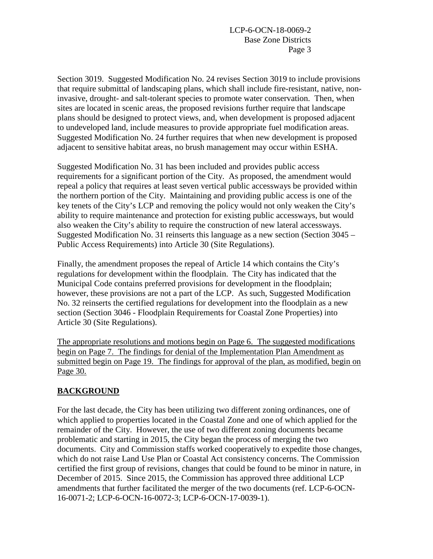Section 3019. Suggested Modification No. 24 revises Section 3019 to include provisions that require submittal of landscaping plans, which shall include fire-resistant, native, noninvasive, drought- and salt-tolerant species to promote water conservation. Then, when sites are located in scenic areas, the proposed revisions further require that landscape plans should be designed to protect views, and, when development is proposed adjacent to undeveloped land, include measures to provide appropriate fuel modification areas. Suggested Modification No. 24 further requires that when new development is proposed adjacent to sensitive habitat areas, no brush management may occur within ESHA.

Suggested Modification No. 31 has been included and provides public access requirements for a significant portion of the City. As proposed, the amendment would repeal a policy that requires at least seven vertical public accessways be provided within the northern portion of the City. Maintaining and providing public access is one of the key tenets of the City's LCP and removing the policy would not only weaken the City's ability to require maintenance and protection for existing public accessways, but would also weaken the City's ability to require the construction of new lateral accessways. Suggested Modification No. 31 reinserts this language as a new section (Section 3045 – Public Access Requirements) into Article 30 (Site Regulations).

Finally, the amendment proposes the repeal of Article 14 which contains the City's regulations for development within the floodplain. The City has indicated that the Municipal Code contains preferred provisions for development in the floodplain; however, these provisions are not a part of the LCP. As such, Suggested Modification No. 32 reinserts the certified regulations for development into the floodplain as a new section (Section 3046 - Floodplain Requirements for Coastal Zone Properties) into Article 30 (Site Regulations).

The appropriate resolutions and motions begin on Page 6. The suggested modifications begin on Page 7. The findings for denial of the Implementation Plan Amendment as submitted begin on Page 19. The findings for approval of the plan, as modified, begin on Page 30.

## **BACKGROUND**

For the last decade, the City has been utilizing two different zoning ordinances, one of which applied to properties located in the Coastal Zone and one of which applied for the remainder of the City. However, the use of two different zoning documents became problematic and starting in 2015, the City began the process of merging the two documents. City and Commission staffs worked cooperatively to expedite those changes, which do not raise Land Use Plan or Coastal Act consistency concerns. The Commission certified the first group of revisions, changes that could be found to be minor in nature, in December of 2015. Since 2015, the Commission has approved three additional LCP amendments that further facilitated the merger of the two documents (ref. LCP-6-OCN-16-0071-2; LCP-6-OCN-16-0072-3; LCP-6-OCN-17-0039-1).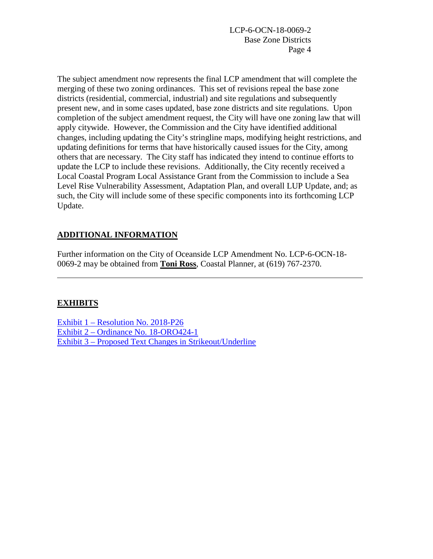The subject amendment now represents the final LCP amendment that will complete the merging of these two zoning ordinances. This set of revisions repeal the base zone districts (residential, commercial, industrial) and site regulations and subsequently present new, and in some cases updated, base zone districts and site regulations. Upon completion of the subject amendment request, the City will have one zoning law that will apply citywide. However, the Commission and the City have identified additional changes, including updating the City's stringline maps, modifying height restrictions, and updating definitions for terms that have historically caused issues for the City, among others that are necessary. The City staff has indicated they intend to continue efforts to update the LCP to include these revisions. Additionally, the City recently received a Local Coastal Program Local Assistance Grant from the Commission to include a Sea Level Rise Vulnerability Assessment, Adaptation Plan, and overall LUP Update, and; as such, the City will include some of these specific components into its forthcoming LCP Update.

# **ADDITIONAL INFORMATION**

Further information on the City of Oceanside LCP Amendment No. LCP-6-OCN-18- 0069-2 may be obtained from **Toni Ross**, Coastal Planner, at (619) 767-2370.

## **EXHIBITS**

Exhibit 1 – [Resolution No.](https://documents.coastal.ca.gov/reports/2019/7/30a/30a-7-2019-exhibits.pdf) 2018-P26 Exhibit 2 – [Ordinance No. 18-ORO424-1](https://documents.coastal.ca.gov/reports/2019/7/30a/30a-7-2019-exhibits.pdf) Exhibit 3 – [Proposed Text Changes in Strikeout/Underline](https://documents.coastal.ca.gov/reports/2019/7/30a/30a-7-2019-exhibits.pdf)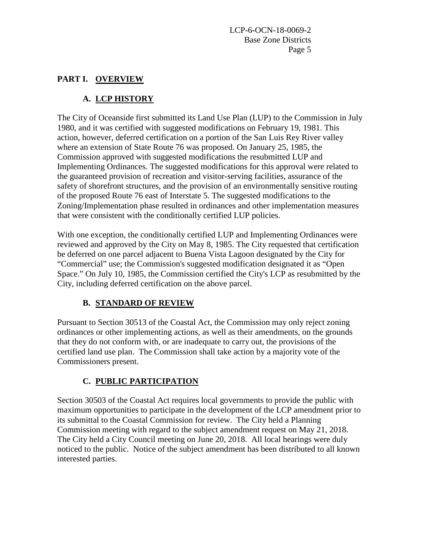## **PART I. OVERVIEW**

# **A. LCP HISTORY**

The City of Oceanside first submitted its Land Use Plan (LUP) to the Commission in July 1980, and it was certified with suggested modifications on February 19, 1981. This action, however, deferred certification on a portion of the San Luis Rey River valley where an extension of State Route 76 was proposed. On January 25, 1985, the Commission approved with suggested modifications the resubmitted LUP and Implementing Ordinances. The suggested modifications for this approval were related to the guaranteed provision of recreation and visitor-serving facilities, assurance of the safety of shorefront structures, and the provision of an environmentally sensitive routing of the proposed Route 76 east of Interstate 5. The suggested modifications to the Zoning/Implementation phase resulted in ordinances and other implementation measures that were consistent with the conditionally certified LUP policies.

With one exception, the conditionally certified LUP and Implementing Ordinances were reviewed and approved by the City on May 8, 1985. The City requested that certification be deferred on one parcel adjacent to Buena Vista Lagoon designated by the City for "Commercial" use; the Commission's suggested modification designated it as "Open Space." On July 10, 1985, the Commission certified the City's LCP as resubmitted by the City, including deferred certification on the above parcel.

# **B. STANDARD OF REVIEW**

Pursuant to Section 30513 of the Coastal Act, the Commission may only reject zoning ordinances or other implementing actions, as well as their amendments, on the grounds that they do not conform with, or are inadequate to carry out, the provisions of the certified land use plan. The Commission shall take action by a majority vote of the Commissioners present.

# **C. PUBLIC PARTICIPATION**

Section 30503 of the Coastal Act requires local governments to provide the public with maximum opportunities to participate in the development of the LCP amendment prior to its submittal to the Coastal Commission for review. The City held a Planning Commission meeting with regard to the subject amendment request on May 21, 2018. The City held a City Council meeting on June 20, 2018. All local hearings were duly noticed to the public. Notice of the subject amendment has been distributed to all known interested parties.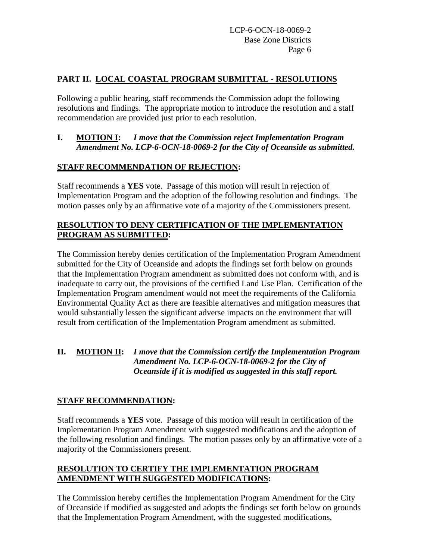## **PART II. LOCAL COASTAL PROGRAM SUBMITTAL - RESOLUTIONS**

Following a public hearing, staff recommends the Commission adopt the following resolutions and findings. The appropriate motion to introduce the resolution and a staff recommendation are provided just prior to each resolution.

## **I. MOTION I:** *I move that the Commission reject Implementation Program Amendment No. LCP-6-OCN-18-0069-2 for the City of Oceanside as submitted.*

## **STAFF RECOMMENDATION OF REJECTION:**

Staff recommends a **YES** vote. Passage of this motion will result in rejection of Implementation Program and the adoption of the following resolution and findings. The motion passes only by an affirmative vote of a majority of the Commissioners present.

## **RESOLUTION TO DENY CERTIFICATION OF THE IMPLEMENTATION PROGRAM AS SUBMITTED:**

The Commission hereby denies certification of the Implementation Program Amendment submitted for the City of Oceanside and adopts the findings set forth below on grounds that the Implementation Program amendment as submitted does not conform with, and is inadequate to carry out, the provisions of the certified Land Use Plan. Certification of the Implementation Program amendment would not meet the requirements of the California Environmental Quality Act as there are feasible alternatives and mitigation measures that would substantially lessen the significant adverse impacts on the environment that will result from certification of the Implementation Program amendment as submitted.

## **II. MOTION II:** *I move that the Commission certify the Implementation Program Amendment No. LCP-6-OCN-18-0069-2 for the City of Oceanside if it is modified as suggested in this staff report.*

# **STAFF RECOMMENDATION:**

Staff recommends a **YES** vote. Passage of this motion will result in certification of the Implementation Program Amendment with suggested modifications and the adoption of the following resolution and findings. The motion passes only by an affirmative vote of a majority of the Commissioners present.

## **RESOLUTION TO CERTIFY THE IMPLEMENTATION PROGRAM AMENDMENT WITH SUGGESTED MODIFICATIONS:**

The Commission hereby certifies the Implementation Program Amendment for the City of Oceanside if modified as suggested and adopts the findings set forth below on grounds that the Implementation Program Amendment, with the suggested modifications,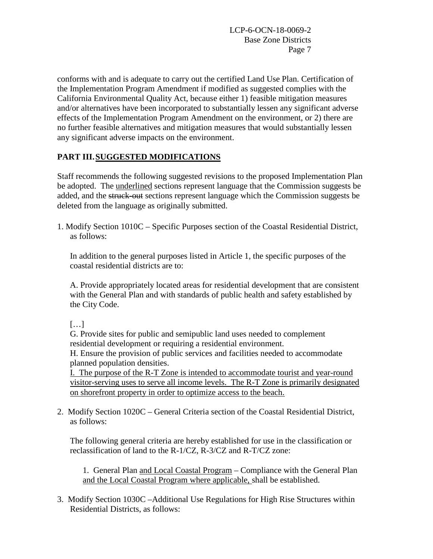conforms with and is adequate to carry out the certified Land Use Plan. Certification of the Implementation Program Amendment if modified as suggested complies with the California Environmental Quality Act, because either 1) feasible mitigation measures and/or alternatives have been incorporated to substantially lessen any significant adverse effects of the Implementation Program Amendment on the environment, or 2) there are no further feasible alternatives and mitigation measures that would substantially lessen any significant adverse impacts on the environment.

# **PART III.SUGGESTED MODIFICATIONS**

Staff recommends the following suggested revisions to the proposed Implementation Plan be adopted. The underlined sections represent language that the Commission suggests be added, and the struck-out sections represent language which the Commission suggests be deleted from the language as originally submitted.

1. Modify Section 1010C – Specific Purposes section of the Coastal Residential District, as follows:

In addition to the general purposes listed in Article 1, the specific purposes of the coastal residential districts are to:

A. Provide appropriately located areas for residential development that are consistent with the General Plan and with standards of public health and safety established by the City Code.

[…]

G. Provide sites for public and semipublic land uses needed to complement residential development or requiring a residential environment.

H. Ensure the provision of public services and facilities needed to accommodate planned population densities.

I. The purpose of the R-T Zone is intended to accommodate tourist and year-round visitor-serving uses to serve all income levels. The R-T Zone is primarily designated on shorefront property in order to optimize access to the beach.

2. Modify Section 1020C – General Criteria section of the Coastal Residential District, as follows:

The following general criteria are hereby established for use in the classification or reclassification of land to the R-1/CZ, R-3/CZ and R-T/CZ zone:

1. General Plan and Local Coastal Program – Compliance with the General Plan and the Local Coastal Program where applicable, shall be established.

3. Modify Section 1030C –Additional Use Regulations for High Rise Structures within Residential Districts, as follows: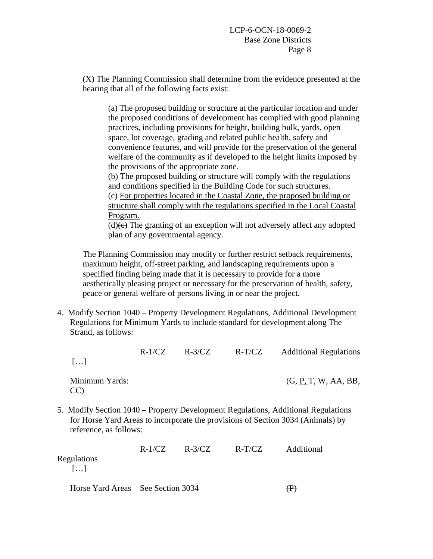(X) The Planning Commission shall determine from the evidence presented at the hearing that all of the following facts exist:

(a) The proposed building or structure at the particular location and under the proposed conditions of development has complied with good planning practices, including provisions for height, building bulk, yards, open space, lot coverage, grading and related public health, safety and convenience features, and will provide for the preservation of the general welfare of the community as if developed to the height limits imposed by the provisions of the appropriate zone.

(b) The proposed building or structure will comply with the regulations and conditions specified in the Building Code for such structures. (c) For properties located in the Coastal Zone, the proposed building or structure shall comply with the regulations specified in the Local Coastal Program.

 $(d)$ (e) The granting of an exception will not adversely affect any adopted plan of any governmental agency.

The Planning Commission may modify or further restrict setback requirements, maximum height, off-street parking, and landscaping requirements upon a specified finding being made that it is necessary to provide for a more aesthetically pleasing project or necessary for the preservation of health, safety, peace or general welfare of persons living in or near the project.

4. Modify Section 1040 – Property Development Regulations, Additional Development Regulations for Minimum Yards to include standard for development along The Strand, as follows:

|                        | $R-1/CZ$ | $R - 3/CZ$ | $R-T/CZ$ | <b>Additional Regulations</b>                                                                                                                                        |
|------------------------|----------|------------|----------|----------------------------------------------------------------------------------------------------------------------------------------------------------------------|
| $\left[\ldots\right]$  |          |            |          |                                                                                                                                                                      |
| Minimum Yards:<br>CC)  |          |            |          | (G, P, T, W, AA, BB,                                                                                                                                                 |
| reference, as follows: |          |            |          | 5. Modify Section 1040 – Property Development Regulations, Additional Regulations<br>for Horse Yard Areas to incorporate the provisions of Section 3034 (Animals) by |

|                                      | $R-1/CZ$ | $R - 3/CZ$ | $R-T/CZ$ | Additional |
|--------------------------------------|----------|------------|----------|------------|
| Regulations<br>$\lceil \dots \rceil$ |          |            |          |            |
|                                      |          |            |          |            |

Horse Yard Areas See Section 3034 (P)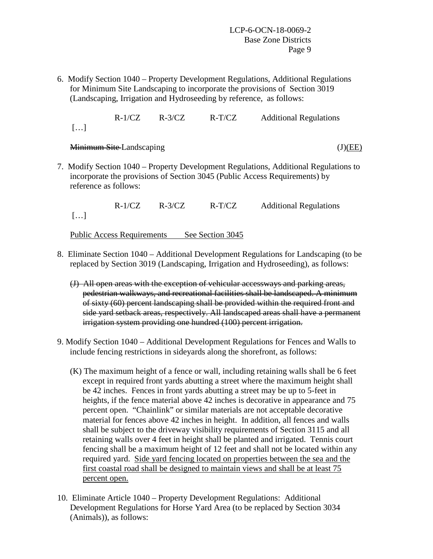6. Modify Section 1040 – Property Development Regulations, Additional Regulations for Minimum Site Landscaping to incorporate the provisions of Section 3019 (Landscaping, Irrigation and Hydroseeding by reference, as follows:

 R-1/CZ R-3/CZ R-T/CZ Additional Regulations […]

### Minimum Site Landscaping (J)(EE)

- 
- 7. Modify Section 1040 Property Development Regulations, Additional Regulations to incorporate the provisions of Section 3045 (Public Access Requirements) by reference as follows:

 R-1/CZ R-3/CZ R-T/CZ Additional Regulations […]

Public Access Requirements See Section 3045

- 8. Eliminate Section 1040 Additional Development Regulations for Landscaping (to be replaced by Section 3019 (Landscaping, Irrigation and Hydroseeding), as follows:
	- (J) All open areas with the exception of vehicular accessways and parking areas, pedestrian walkways, and recreational facilities shall be landscaped. A minimum of sixty (60) percent landscaping shall be provided within the required front and side yard setback areas, respectively. All landscaped areas shall have a permanent irrigation system providing one hundred (100) percent irrigation.
- 9. Modify Section 1040 Additional Development Regulations for Fences and Walls to include fencing restrictions in sideyards along the shorefront, as follows:
	- (K) The maximum height of a fence or wall, including retaining walls shall be 6 feet except in required front yards abutting a street where the maximum height shall be 42 inches. Fences in front yards abutting a street may be up to 5-feet in heights, if the fence material above 42 inches is decorative in appearance and 75 percent open. "Chainlink" or similar materials are not acceptable decorative material for fences above 42 inches in height. In addition, all fences and walls shall be subject to the driveway visibility requirements of Section 3115 and all retaining walls over 4 feet in height shall be planted and irrigated. Tennis court fencing shall be a maximum height of 12 feet and shall not be located within any required yard. Side yard fencing located on properties between the sea and the first coastal road shall be designed to maintain views and shall be at least 75 percent open.
- 10. Eliminate Article 1040 Property Development Regulations: Additional Development Regulations for Horse Yard Area (to be replaced by Section 3034 (Animals)), as follows: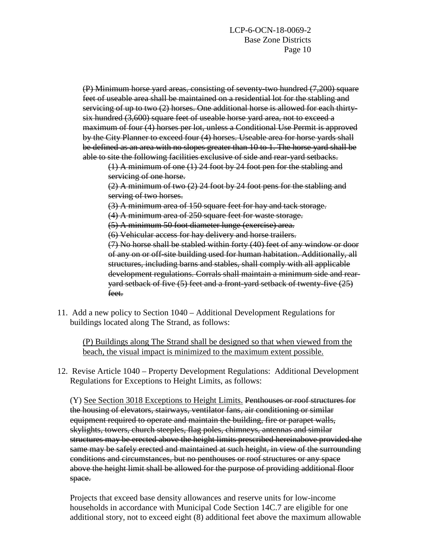(P) Minimum horse yard areas, consisting of seventy-two hundred (7,200) square feet of useable area shall be maintained on a residential lot for the stabling and servicing of up to two (2) horses. One additional horse is allowed for each thirtysix hundred (3,600) square feet of useable horse yard area, not to exceed a maximum of four (4) horses per lot, unless a Conditional Use Permit is approved by the City Planner to exceed four (4) horses. Useable area for horse yards shall be defined as an area with no slopes greater than 10 to 1. The horse yard shall be able to site the following facilities exclusive of side and rear-yard setbacks.

(1) A minimum of one (1) 24 foot by 24 foot pen for the stabling and servicing of one horse.

(2) A minimum of two (2) 24 foot by 24 foot pens for the stabling and serving of two horses.

(3) A minimum area of 150 square feet for hay and tack storage.

(4) A minimum area of 250 square feet for waste storage.

(5) A minimum 50 foot diameter lunge (exercise) area.

(6) Vehicular access for hay delivery and horse trailers.

(7) No horse shall be stabled within forty (40) feet of any window or door of any on or off-site building used for human habitation. Additionally, all structures, including barns and stables, shall comply with all applicable development regulations. Corrals shall maintain a minimum side and rearyard setback of five (5) feet and a front-yard setback of twenty-five (25) feet.

11. Add a new policy to Section 1040 – Additional Development Regulations for buildings located along The Strand, as follows:

(P) Buildings along The Strand shall be designed so that when viewed from the beach, the visual impact is minimized to the maximum extent possible.

12. Revise Article 1040 – Property Development Regulations: Additional Development Regulations for Exceptions to Height Limits, as follows:

(Y) See Section 3018 Exceptions to Height Limits. Penthouses or roof structures for the housing of elevators, stairways, ventilator fans, air conditioning or similar equipment required to operate and maintain the building, fire or parapet walls, skylights, towers, church steeples, flag poles, chimneys, antennas and similar structures may be erected above the height limits prescribed hereinabove provided the same may be safely erected and maintained at such height, in view of the surrounding conditions and circumstances, but no penthouses or roof structures or any space above the height limit shall be allowed for the purpose of providing additional floor space.

Projects that exceed base density allowances and reserve units for low-income households in accordance with Municipal Code Section 14C.7 are eligible for one additional story, not to exceed eight (8) additional feet above the maximum allowable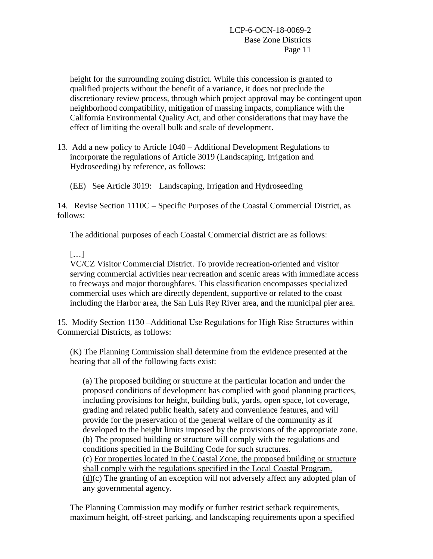height for the surrounding zoning district. While this concession is granted to qualified projects without the benefit of a variance, it does not preclude the discretionary review process, through which project approval may be contingent upon neighborhood compatibility, mitigation of massing impacts, compliance with the California Environmental Quality Act, and other considerations that may have the effect of limiting the overall bulk and scale of development.

13. Add a new policy to Article 1040 – Additional Development Regulations to incorporate the regulations of Article 3019 (Landscaping, Irrigation and Hydroseeding) by reference, as follows:

(EE) See Article 3019: Landscaping, Irrigation and Hydroseeding

14. Revise Section 1110C – Specific Purposes of the Coastal Commercial District, as follows:

The additional purposes of each Coastal Commercial district are as follows:

# […]

VC/CZ Visitor Commercial District. To provide recreation-oriented and visitor serving commercial activities near recreation and scenic areas with immediate access to freeways and major thoroughfares. This classification encompasses specialized commercial uses which are directly dependent, supportive or related to the coast including the Harbor area, the San Luis Rey River area, and the municipal pier area.

15. Modify Section 1130 –Additional Use Regulations for High Rise Structures within Commercial Districts, as follows:

(K) The Planning Commission shall determine from the evidence presented at the hearing that all of the following facts exist:

(a) The proposed building or structure at the particular location and under the proposed conditions of development has complied with good planning practices, including provisions for height, building bulk, yards, open space, lot coverage, grading and related public health, safety and convenience features, and will provide for the preservation of the general welfare of the community as if developed to the height limits imposed by the provisions of the appropriate zone. (b) The proposed building or structure will comply with the regulations and conditions specified in the Building Code for such structures. (c) For properties located in the Coastal Zone, the proposed building or structure shall comply with the regulations specified in the Local Coastal Program.  $(d)$ (e) The granting of an exception will not adversely affect any adopted plan of

any governmental agency.

The Planning Commission may modify or further restrict setback requirements, maximum height, off-street parking, and landscaping requirements upon a specified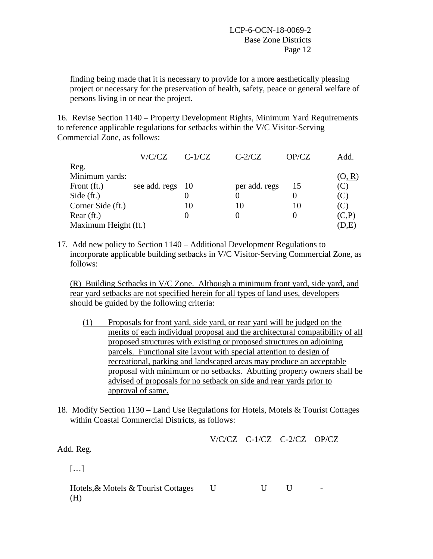finding being made that it is necessary to provide for a more aesthetically pleasing project or necessary for the preservation of health, safety, peace or general welfare of persons living in or near the project.

16. Revise Section 1140 – Property Development Rights, Minimum Yard Requirements to reference applicable regulations for setbacks within the V/C Visitor-Serving Commercial Zone, as follows:

|                      | V/C/CZ        | $C-1/CZ$     | $C-2/CZ$      | OP/CZ | Add.   |  |  |
|----------------------|---------------|--------------|---------------|-------|--------|--|--|
| Reg.                 |               |              |               |       |        |  |  |
| Minimum yards:       |               |              |               |       | (O, R) |  |  |
| Front $(ft)$ .       | see add. regs | - 10         | per add. regs | 15    | (C)    |  |  |
| Side $(ft.)$         |               |              |               |       | (C)    |  |  |
| Corner Side (ft.)    |               | 10           | 10            | 10    | (C)    |  |  |
| Rear $(ft)$ .        |               | $\mathbf{0}$ |               |       | (C,P)  |  |  |
| Maximum Height (ft.) |               |              |               |       |        |  |  |

17. Add new policy to Section 1140 – Additional Development Regulations to incorporate applicable building setbacks in V/C Visitor-Serving Commercial Zone, as follows:

(R) Building Setbacks in V/C Zone. Although a minimum front yard, side yard, and rear yard setbacks are not specified herein for all types of land uses, developers should be guided by the following criteria:

- (1) Proposals for front yard, side yard, or rear yard will be judged on the merits of each individual proposal and the architectural compatibility of all proposed structures with existing or proposed structures on adjoining parcels. Functional site layout with special attention to design of recreational, parking and landscaped areas may produce an acceptable proposal with minimum or no setbacks. Abutting property owners shall be advised of proposals for no setback on side and rear yards prior to approval of same.
- 18. Modify Section 1130 Land Use Regulations for Hotels, Motels & Tourist Cottages within Coastal Commercial Districts, as follows:

V/C/CZ C-1/CZ C-2/CZ OP/CZ

Add. Reg.

 $[...]$ 

Hotels, & Motels & Tourist Cottages U U U U (H)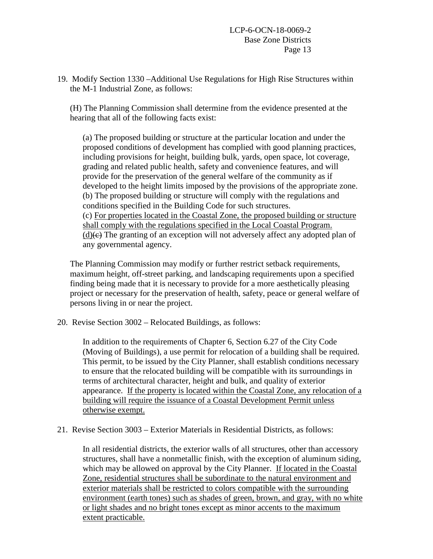19. Modify Section 1330 –Additional Use Regulations for High Rise Structures within the M-1 Industrial Zone, as follows:

(H) The Planning Commission shall determine from the evidence presented at the hearing that all of the following facts exist:

(a) The proposed building or structure at the particular location and under the proposed conditions of development has complied with good planning practices, including provisions for height, building bulk, yards, open space, lot coverage, grading and related public health, safety and convenience features, and will provide for the preservation of the general welfare of the community as if developed to the height limits imposed by the provisions of the appropriate zone. (b) The proposed building or structure will comply with the regulations and conditions specified in the Building Code for such structures. (c) For properties located in the Coastal Zone, the proposed building or structure shall comply with the regulations specified in the Local Coastal Program.  $(d)$ (e) The granting of an exception will not adversely affect any adopted plan of any governmental agency.

The Planning Commission may modify or further restrict setback requirements, maximum height, off-street parking, and landscaping requirements upon a specified finding being made that it is necessary to provide for a more aesthetically pleasing project or necessary for the preservation of health, safety, peace or general welfare of persons living in or near the project.

20. Revise Section 3002 – Relocated Buildings, as follows:

In addition to the requirements of Chapter 6, Section 6.27 of the City Code (Moving of Buildings), a use permit for relocation of a building shall be required. This permit, to be issued by the City Planner, shall establish conditions necessary to ensure that the relocated building will be compatible with its surroundings in terms of architectural character, height and bulk, and quality of exterior appearance. If the property is located within the Coastal Zone, any relocation of a building will require the issuance of a Coastal Development Permit unless otherwise exempt.

#### 21. Revise Section 3003 – Exterior Materials in Residential Districts, as follows:

In all residential districts, the exterior walls of all structures, other than accessory structures, shall have a nonmetallic finish, with the exception of aluminum siding, which may be allowed on approval by the City Planner. If located in the Coastal Zone, residential structures shall be subordinate to the natural environment and exterior materials shall be restricted to colors compatible with the surrounding environment (earth tones) such as shades of green, brown, and gray, with no white or light shades and no bright tones except as minor accents to the maximum extent practicable.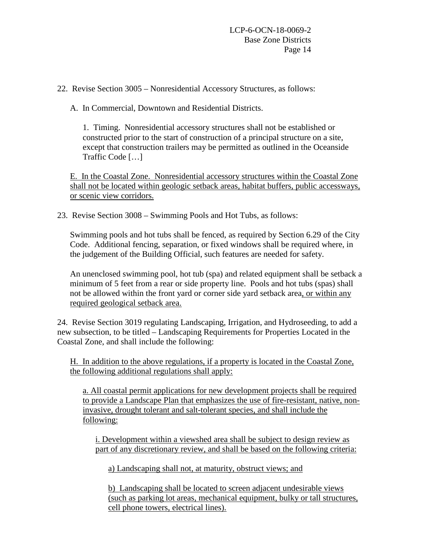22. Revise Section 3005 – Nonresidential Accessory Structures, as follows:

A. In Commercial, Downtown and Residential Districts.

1. Timing. Nonresidential accessory structures shall not be established or constructed prior to the start of construction of a principal structure on a site, except that construction trailers may be permitted as outlined in the Oceanside Traffic Code […]

E. In the Coastal Zone. Nonresidential accessory structures within the Coastal Zone shall not be located within geologic setback areas, habitat buffers, public accessways, or scenic view corridors.

23. Revise Section 3008 – Swimming Pools and Hot Tubs, as follows:

Swimming pools and hot tubs shall be fenced, as required by Section 6.29 of the City Code. Additional fencing, separation, or fixed windows shall be required where, in the judgement of the Building Official, such features are needed for safety.

An unenclosed swimming pool, hot tub (spa) and related equipment shall be setback a minimum of 5 feet from a rear or side property line. Pools and hot tubs (spas) shall not be allowed within the front yard or corner side yard setback area, or within any required geological setback area.

24. Revise Section 3019 regulating Landscaping, Irrigation, and Hydroseeding, to add a new subsection, to be titled – Landscaping Requirements for Properties Located in the Coastal Zone, and shall include the following:

H. In addition to the above regulations, if a property is located in the Coastal Zone, the following additional regulations shall apply:

a. All coastal permit applications for new development projects shall be required to provide a Landscape Plan that emphasizes the use of fire-resistant, native, noninvasive, drought tolerant and salt-tolerant species, and shall include the following:

i. Development within a viewshed area shall be subject to design review as part of any discretionary review, and shall be based on the following criteria:

a) Landscaping shall not, at maturity, obstruct views; and

b) Landscaping shall be located to screen adjacent undesirable views (such as parking lot areas, mechanical equipment, bulky or tall structures, cell phone towers, electrical lines).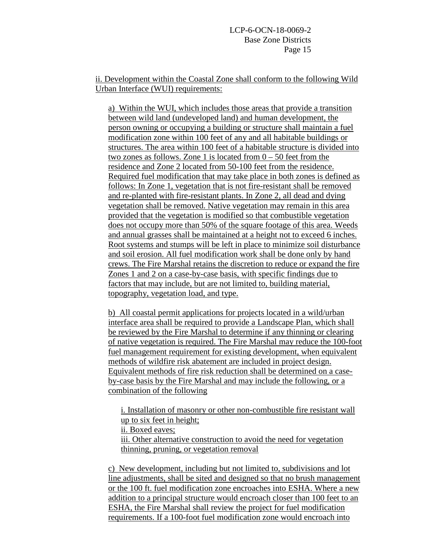ii. Development within the Coastal Zone shall conform to the following Wild Urban Interface (WUI) requirements:

a) Within the WUI, which includes those areas that provide a transition between wild land (undeveloped land) and human development, the person owning or occupying a building or structure shall maintain a fuel modification zone within 100 feet of any and all habitable buildings or structures. The area within 100 feet of a habitable structure is divided into two zones as follows. Zone 1 is located from  $0 - 50$  feet from the residence and Zone 2 located from 50-100 feet from the residence. Required fuel modification that may take place in both zones is defined as follows: In Zone 1, vegetation that is not fire-resistant shall be removed and re-planted with fire-resistant plants. In Zone 2, all dead and dying vegetation shall be removed. Native vegetation may remain in this area provided that the vegetation is modified so that combustible vegetation does not occupy more than 50% of the square footage of this area. Weeds and annual grasses shall be maintained at a height not to exceed 6 inches. Root systems and stumps will be left in place to minimize soil disturbance and soil erosion. All fuel modification work shall be done only by hand crews. The Fire Marshal retains the discretion to reduce or expand the fire Zones 1 and 2 on a case-by-case basis, with specific findings due to factors that may include, but are not limited to, building material, topography, vegetation load, and type.

b) All coastal permit applications for projects located in a wild/urban interface area shall be required to provide a Landscape Plan, which shall be reviewed by the Fire Marshal to determine if any thinning or clearing of native vegetation is required. The Fire Marshal may reduce the 100-foot fuel management requirement for existing development, when equivalent methods of wildfire risk abatement are included in project design. Equivalent methods of fire risk reduction shall be determined on a caseby-case basis by the Fire Marshal and may include the following, or a combination of the following

i. Installation of masonry or other non-combustible fire resistant wall up to six feet in height; ii. Boxed eaves; iii. Other alternative construction to avoid the need for vegetation thinning, pruning, or vegetation removal

c) New development, including but not limited to, subdivisions and lot line adjustments, shall be sited and designed so that no brush management or the 100 ft. fuel modification zone encroaches into ESHA. Where a new addition to a principal structure would encroach closer than 100 feet to an ESHA, the Fire Marshal shall review the project for fuel modification requirements. If a 100-foot fuel modification zone would encroach into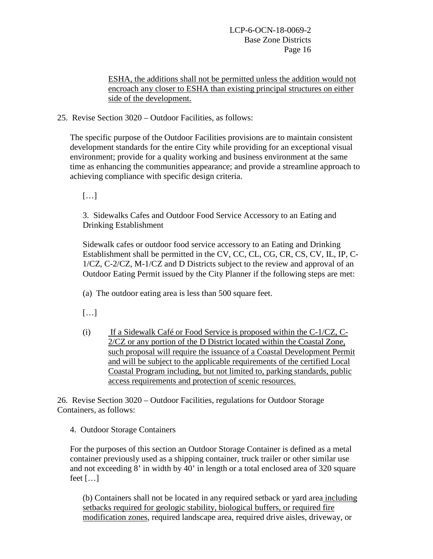ESHA, the additions shall not be permitted unless the addition would not encroach any closer to ESHA than existing principal structures on either side of the development.

25. Revise Section 3020 – Outdoor Facilities, as follows:

The specific purpose of the Outdoor Facilities provisions are to maintain consistent development standards for the entire City while providing for an exceptional visual environment; provide for a quality working and business environment at the same time as enhancing the communities appearance; and provide a streamline approach to achieving compliance with specific design criteria.

[…]

3. Sidewalks Cafes and Outdoor Food Service Accessory to an Eating and Drinking Establishment

Sidewalk cafes or outdoor food service accessory to an Eating and Drinking Establishment shall be permitted in the CV, CC, CL, CG, CR, CS, CV, IL, IP, C-1/CZ, C-2/CZ, M-1/CZ and D Districts subject to the review and approval of an Outdoor Eating Permit issued by the City Planner if the following steps are met:

(a) The outdoor eating area is less than 500 square feet.

[…]

(i) If a Sidewalk Café or Food Service is proposed within the C-1/CZ, C-2/CZ or any portion of the D District located within the Coastal Zone, such proposal will require the issuance of a Coastal Development Permit and will be subject to the applicable requirements of the certified Local Coastal Program including, but not limited to, parking standards, public access requirements and protection of scenic resources.

26. Revise Section 3020 – Outdoor Facilities, regulations for Outdoor Storage Containers, as follows:

4. Outdoor Storage Containers

For the purposes of this section an Outdoor Storage Container is defined as a metal container previously used as a shipping container, truck trailer or other similar use and not exceeding 8' in width by 40' in length or a total enclosed area of 320 square feet  $[\dots]$ 

(b) Containers shall not be located in any required setback or yard area including setbacks required for geologic stability, biological buffers, or required fire modification zones, required landscape area, required drive aisles, driveway, or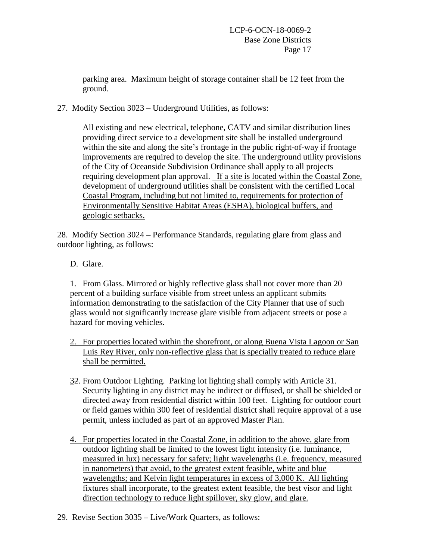parking area. Maximum height of storage container shall be 12 feet from the ground.

27. Modify Section 3023 – Underground Utilities, as follows:

All existing and new electrical, telephone, CATV and similar distribution lines providing direct service to a development site shall be installed underground within the site and along the site's frontage in the public right-of-way if frontage improvements are required to develop the site. The underground utility provisions of the City of Oceanside Subdivision Ordinance shall apply to all projects requiring development plan approval. If a site is located within the Coastal Zone, development of underground utilities shall be consistent with the certified Local Coastal Program, including but not limited to, requirements for protection of Environmentally Sensitive Habitat Areas (ESHA), biological buffers, and geologic setbacks.

28. Modify Section 3024 – Performance Standards, regulating glare from glass and outdoor lighting, as follows:

D. Glare.

1. From Glass. Mirrored or highly reflective glass shall not cover more than 20 percent of a building surface visible from street unless an applicant submits information demonstrating to the satisfaction of the City Planner that use of such glass would not significantly increase glare visible from adjacent streets or pose a hazard for moving vehicles.

- 2. For properties located within the shorefront, or along Buena Vista Lagoon or San Luis Rey River, only non-reflective glass that is specially treated to reduce glare shall be permitted.
- 32. From Outdoor Lighting. Parking lot lighting shall comply with Article 31. Security lighting in any district may be indirect or diffused, or shall be shielded or directed away from residential district within 100 feet. Lighting for outdoor court or field games within 300 feet of residential district shall require approval of a use permit, unless included as part of an approved Master Plan.
- 4. For properties located in the Coastal Zone, in addition to the above, glare from outdoor lighting shall be limited to the lowest light intensity (i.e. luminance, measured in lux) necessary for safety; light wavelengths (i.e. frequency, measured in nanometers) that avoid, to the greatest extent feasible, white and blue wavelengths; and Kelvin light temperatures in excess of 3,000 K. All lighting fixtures shall incorporate, to the greatest extent feasible, the best visor and light direction technology to reduce light spillover, sky glow, and glare.
- 29. Revise Section 3035 Live/Work Quarters, as follows: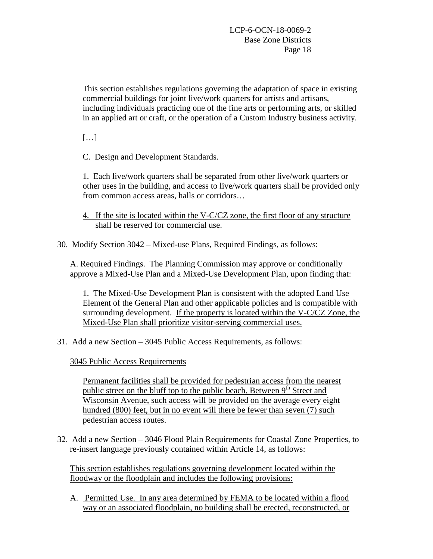This section establishes regulations governing the adaptation of space in existing commercial buildings for joint live/work quarters for artists and artisans, including individuals practicing one of the fine arts or performing arts, or skilled in an applied art or craft, or the operation of a Custom Industry business activity.

[…]

C. Design and Development Standards.

1. Each live/work quarters shall be separated from other live/work quarters or other uses in the building, and access to live/work quarters shall be provided only from common access areas, halls or corridors…

- 4. If the site is located within the V-C/CZ zone, the first floor of any structure shall be reserved for commercial use.
- 30. Modify Section 3042 Mixed-use Plans, Required Findings, as follows:

A. Required Findings. The Planning Commission may approve or conditionally approve a Mixed-Use Plan and a Mixed-Use Development Plan, upon finding that:

1. The Mixed-Use Development Plan is consistent with the adopted Land Use Element of the General Plan and other applicable policies and is compatible with surrounding development. If the property is located within the V-C/CZ Zone, the Mixed-Use Plan shall prioritize visitor-serving commercial uses.

31. Add a new Section – 3045 Public Access Requirements, as follows:

3045 Public Access Requirements

Permanent facilities shall be provided for pedestrian access from the nearest public street on the bluff top to the public beach. Between 9<sup>th</sup> Street and Wisconsin Avenue, such access will be provided on the average every eight hundred (800) feet, but in no event will there be fewer than seven (7) such pedestrian access routes.

32. Add a new Section – 3046 Flood Plain Requirements for Coastal Zone Properties, to re-insert language previously contained within Article 14, as follows:

This section establishes regulations governing development located within the floodway or the floodplain and includes the following provisions:

A. Permitted Use. In any area determined by FEMA to be located within a flood way or an associated floodplain, no building shall be erected, reconstructed, or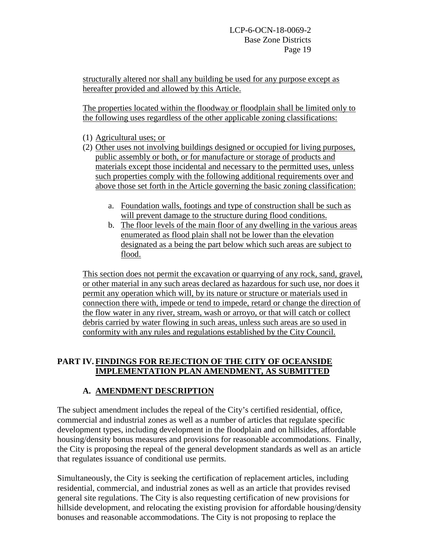structurally altered nor shall any building be used for any purpose except as hereafter provided and allowed by this Article.

The properties located within the floodway or floodplain shall be limited only to the following uses regardless of the other applicable zoning classifications:

- (1) Agricultural uses; or
- (2) Other uses not involving buildings designed or occupied for living purposes, public assembly or both, or for manufacture or storage of products and materials except those incidental and necessary to the permitted uses, unless such properties comply with the following additional requirements over and above those set forth in the Article governing the basic zoning classification:
	- a. Foundation walls, footings and type of construction shall be such as will prevent damage to the structure during flood conditions.
	- b. The floor levels of the main floor of any dwelling in the various areas enumerated as flood plain shall not be lower than the elevation designated as a being the part below which such areas are subject to flood.

This section does not permit the excavation or quarrying of any rock, sand, gravel, or other material in any such areas declared as hazardous for such use, nor does it permit any operation which will, by its nature or structure or materials used in connection there with, impede or tend to impede, retard or change the direction of the flow water in any river, stream, wash or arroyo, or that will catch or collect debris carried by water flowing in such areas, unless such areas are so used in conformity with any rules and regulations established by the City Council.

# **PART IV. FINDINGS FOR REJECTION OF THE CITY OF OCEANSIDE IMPLEMENTATION PLAN AMENDMENT, AS SUBMITTED**

# **A. AMENDMENT DESCRIPTION**

The subject amendment includes the repeal of the City's certified residential, office, commercial and industrial zones as well as a number of articles that regulate specific development types, including development in the floodplain and on hillsides, affordable housing/density bonus measures and provisions for reasonable accommodations. Finally, the City is proposing the repeal of the general development standards as well as an article that regulates issuance of conditional use permits.

Simultaneously, the City is seeking the certification of replacement articles, including residential, commercial, and industrial zones as well as an article that provides revised general site regulations. The City is also requesting certification of new provisions for hillside development, and relocating the existing provision for affordable housing/density bonuses and reasonable accommodations. The City is not proposing to replace the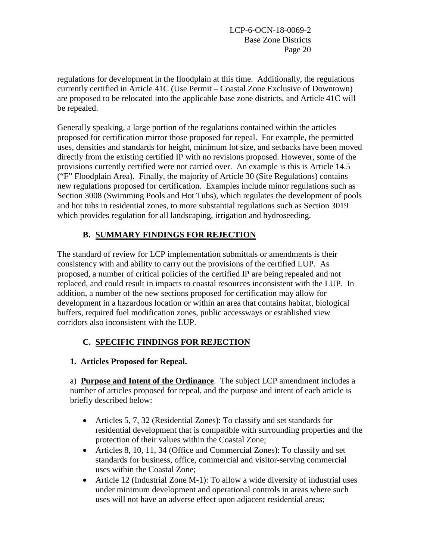regulations for development in the floodplain at this time. Additionally, the regulations currently certified in Article 41C (Use Permit – Coastal Zone Exclusive of Downtown) are proposed to be relocated into the applicable base zone districts, and Article 41C will be repealed.

Generally speaking, a large portion of the regulations contained within the articles proposed for certification mirror those proposed for repeal. For example, the permitted uses, densities and standards for height, minimum lot size, and setbacks have been moved directly from the existing certified IP with no revisions proposed. However, some of the provisions currently certified were not carried over. An example is this is Article 14.5 ("F" Floodplain Area). Finally, the majority of Article 30 (Site Regulations) contains new regulations proposed for certification*.* Examples include minor regulations such as Section 3008 (Swimming Pools and Hot Tubs), which regulates the development of pools and hot tubs in residential zones, to more substantial regulations such as Section 3019 which provides regulation for all landscaping, irrigation and hydroseeding.

# **B. SUMMARY FINDINGS FOR REJECTION**

The standard of review for LCP implementation submittals or amendments is their consistency with and ability to carry out the provisions of the certified LUP. As proposed, a number of critical policies of the certified IP are being repealed and not replaced, and could result in impacts to coastal resources inconsistent with the LUP. In addition, a number of the new sections proposed for certification may allow for development in a hazardous location or within an area that contains habitat, biological buffers, required fuel modification zones, public accessways or established view corridors also inconsistent with the LUP.

# **C. SPECIFIC FINDINGS FOR REJECTION**

**1. Articles Proposed for Repeal.**

a) **Purpose and Intent of the Ordinance**. The subject LCP amendment includes a number of articles proposed for repeal, and the purpose and intent of each article is briefly described below:

- Articles 5, 7, 32 (Residential Zones): To classify and set standards for residential development that is compatible with surrounding properties and the protection of their values within the Coastal Zone;
- Articles 8, 10, 11, 34 (Office and Commercial Zones): To classify and set standards for business, office, commercial and visitor-serving commercial uses within the Coastal Zone;
- Article 12 (Industrial Zone M-1): To allow a wide diversity of industrial uses under minimum development and operational controls in areas where such uses will not have an adverse effect upon adjacent residential areas;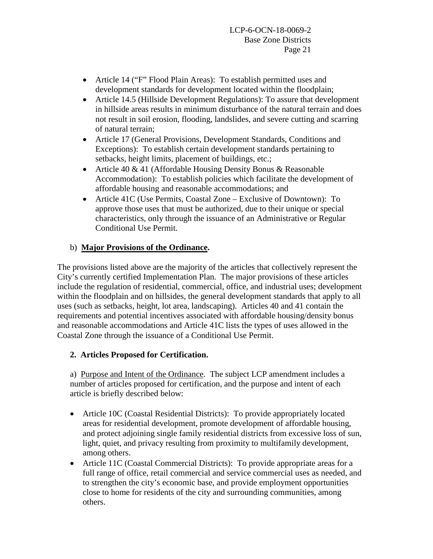- Article 14 ("F" Flood Plain Areas): To establish permitted uses and development standards for development located within the floodplain;
- Article 14.5 (Hillside Development Regulations): To assure that development in hillside areas results in minimum disturbance of the natural terrain and does not result in soil erosion, flooding, landslides, and severe cutting and scarring of natural terrain;
- Article 17 (General Provisions, Development Standards, Conditions and Exceptions): To establish certain development standards pertaining to setbacks, height limits, placement of buildings, etc.;
- Article 40 & 41 (Affordable Housing Density Bonus & Reasonable Accommodation): To establish policies which facilitate the development of affordable housing and reasonable accommodations; and
- Article 41C (Use Permits, Coastal Zone Exclusive of Downtown): To approve those uses that must be authorized, due to their unique or special characteristics, only through the issuance of an Administrative or Regular Conditional Use Permit.

## b) **Major Provisions of the Ordinance.**

The provisions listed above are the majority of the articles that collectively represent the City's currently certified Implementation Plan. The major provisions of these articles include the regulation of residential, commercial, office, and industrial uses; development within the floodplain and on hillsides, the general development standards that apply to all uses (such as setbacks, height, lot area, landscaping). Articles 40 and 41 contain the requirements and potential incentives associated with affordable housing/density bonus and reasonable accommodations and Article 41C lists the types of uses allowed in the Coastal Zone through the issuance of a Conditional Use Permit.

## **2. Articles Proposed for Certification.**

a) Purpose and Intent of the Ordinance. The subject LCP amendment includes a number of articles proposed for certification, and the purpose and intent of each article is briefly described below:

- Article 10C (Coastal Residential Districts): To provide appropriately located areas for residential development, promote development of affordable housing, and protect adjoining single family residential districts from excessive loss of sun, light, quiet, and privacy resulting from proximity to multifamily development, among others.
- Article 11C (Coastal Commercial Districts): To provide appropriate areas for a full range of office, retail commercial and service commercial uses as needed, and to strengthen the city's economic base, and provide employment opportunities close to home for residents of the city and surrounding communities, among others.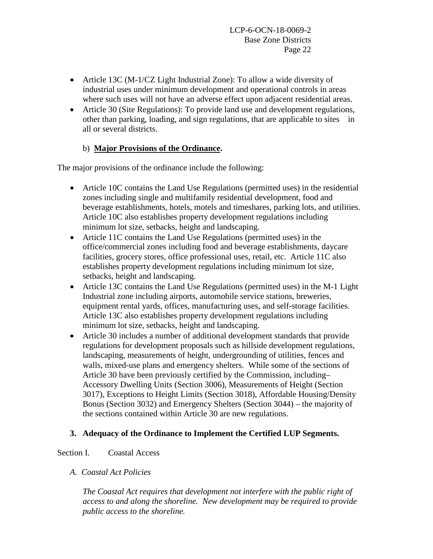- Article 13C (M-1/CZ Light Industrial Zone): To allow a wide diversity of industrial uses under minimum development and operational controls in areas where such uses will not have an adverse effect upon adjacent residential areas.
- Article 30 (Site Regulations): To provide land use and development regulations, other than parking, loading, and sign regulations, that are applicable to sites in all or several districts.

# b) **Major Provisions of the Ordinance.**

The major provisions of the ordinance include the following:

- Article 10C contains the Land Use Regulations (permitted uses) in the residential zones including single and multifamily residential development, food and beverage establishments, hotels, motels and timeshares, parking lots, and utilities. Article 10C also establishes property development regulations including minimum lot size, setbacks, height and landscaping.
- Article 11C contains the Land Use Regulations (permitted uses) in the office/commercial zones including food and beverage establishments, daycare facilities, grocery stores, office professional uses, retail, etc. Article 11C also establishes property development regulations including minimum lot size, setbacks, height and landscaping.
- Article 13C contains the Land Use Regulations (permitted uses) in the M-1 Light Industrial zone including airports, automobile service stations, breweries, equipment rental yards, offices, manufacturing uses, and self-storage facilities. Article 13C also establishes property development regulations including minimum lot size, setbacks, height and landscaping.
- Article 30 includes a number of additional development standards that provide regulations for development proposals such as hillside development regulations, landscaping, measurements of height, undergrounding of utilities, fences and walls, mixed-use plans and emergency shelters. While some of the sections of Article 30 have been previously certified by the Commission, including– Accessory Dwelling Units (Section 3006), Measurements of Height (Section 3017), Exceptions to Height Limits (Section 3018), Affordable Housing/Density Bonus (Section 3032) and Emergency Shelters (Section 3044) – the majority of the sections contained within Article 30 are new regulations.

## **3. Adequacy of the Ordinance to Implement the Certified LUP Segments.**

### Section I. Coastal Access

## *A. Coastal Act Policies*

*The Coastal Act requires that development not interfere with the public right of access to and along the shoreline. New development may be required to provide public access to the shoreline.*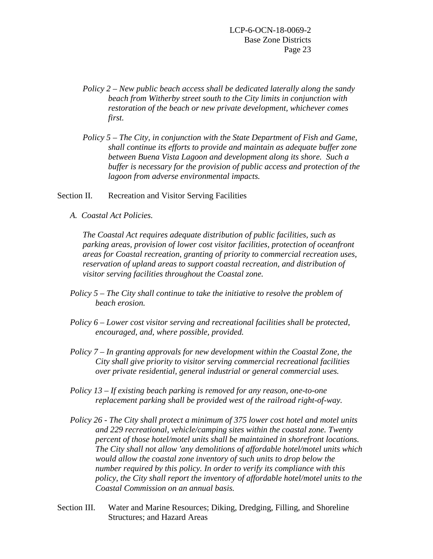- *Policy 2 – New public beach access shall be dedicated laterally along the sandy beach from Witherby street south to the City limits in conjunction with restoration of the beach or new private development, whichever comes first.*
- *Policy 5 – The City, in conjunction with the State Department of Fish and Game, shall continue its efforts to provide and maintain as adequate buffer zone between Buena Vista Lagoon and development along its shore. Such a buffer is necessary for the provision of public access and protection of the lagoon from adverse environmental impacts.*

Section II. Recreation and Visitor Serving Facilities

*A. Coastal Act Policies.*

*The Coastal Act requires adequate distribution of public facilities, such as parking areas, provision of lower cost visitor facilities, protection of oceanfront areas for Coastal recreation, granting of priority to commercial recreation uses, reservation of upland areas to support coastal recreation, and distribution of visitor serving facilities throughout the Coastal zone.*

- *Policy 5 – The City shall continue to take the initiative to resolve the problem of beach erosion.*
- *Policy 6 – Lower cost visitor serving and recreational facilities shall be protected, encouraged, and, where possible, provided.*
- *Policy 7 – In granting approvals for new development within the Coastal Zone, the City shall give priority to visitor serving commercial recreational facilities over private residential, general industrial or general commercial uses.*
- *Policy 13 – If existing beach parking is removed for any reason, one-to-one replacement parking shall be provided west of the railroad right-of-way.*
- *Policy 26 - The City shall protect a minimum of 375 lower cost hotel and motel units and 229 recreational, vehicle/camping sites within the coastal zone. Twenty percent of those hotel/motel units shall be maintained in shorefront locations. The City shall not allow 'any demolitions of affordable hotel/motel units which would allow the coastal zone inventory of such units to drop below the number required by this policy. In order to verify its compliance with this policy, the City shall report the inventory of affordable hotel/motel units to the Coastal Commission on an annual basis.*
- Section III. Water and Marine Resources; Diking, Dredging, Filling, and Shoreline Structures; and Hazard Areas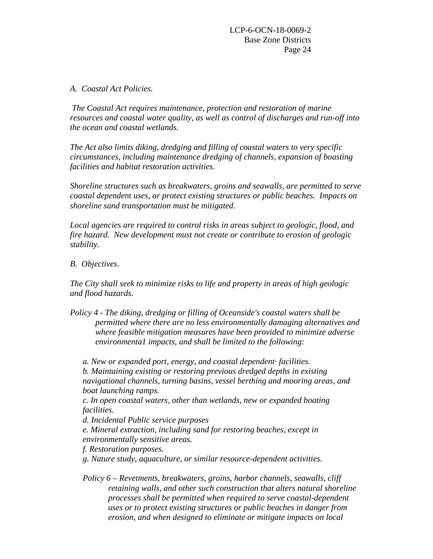### *A. Coastal Act Policies.*

*The Coastal Act requires maintenance, protection and restoration of marine resources and coastal water quality, as well as control of discharges and run-off into the ocean and coastal wetlands.*

*The Act also limits diking, dredging and filling of coastal waters to very specific circumstances, including maintenance dredging of channels, expansion of boasting facilities and habitat restoration activities.*

*Shoreline structures such as breakwaters, groins and seawalls, are permitted to serve coastal dependent uses, or protect existing structures or public beaches. Impacts on shoreline sand transportation must be mitigated.*

*Local agencies are required to control risks in areas subject to geologic, flood, and fire hazard. New development must not create or contribute to erosion of geologic stability.*

### *B. Objectives.*

*The City shall seek to minimize risks to life and property in areas of high geologic and flood hazards.*

*Policy 4 - The diking, dredging or filling of Oceanside's coastal waters shall be permitted where there are no less environmentally damaging alternatives and where feasible mitigation measures have been provided to minimize adverse environmenta1 impacts, and shall be limited to the following:*

*a. New or expanded port, energy, and coastal dependent· facilities. b. Maintaining existing or restoring previous dredged depths in existing navigational channels, turning basins, vessel berthing and mooring areas, and boat launching ramps.*

*c. In open coastal waters, other than wetlands, new or expanded boating facilities.*

*d. Incidental Public service purposes*

*e. Mineral extraction, including sand for restoring beaches, except in environmentally sensitive areas.*

*f. Restoration purposes.*

*g. Nature study, aquaculture, or similar resource-dependent activities.*

*Policy 6 – Revetments, breakwaters, groins, harbor channels, seawalls, cliff retaining walls, and other such construction that alters natural shoreline processes shall be permitted when required to serve coastal-dependent uses or to protect existing structures or public beaches in danger from erosion, and when designed to eliminate or mitigate impacts on local*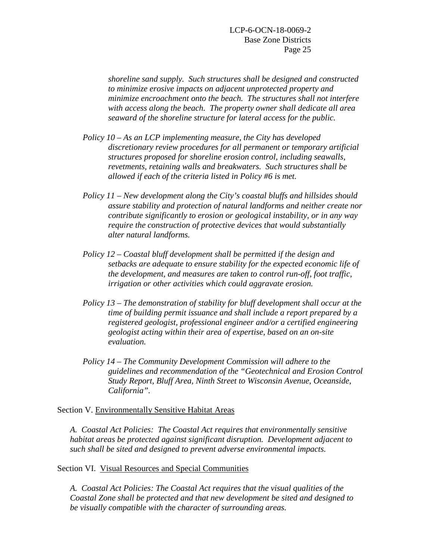*shoreline sand supply. Such structures shall be designed and constructed to minimize erosive impacts on adjacent unprotected property and minimize encroachment onto the beach. The structures shall not interfere with access along the beach. The property owner shall dedicate all area seaward of the shoreline structure for lateral access for the public.*

- *Policy 10 – As an LCP implementing measure, the City has developed discretionary review procedures for all permanent or temporary artificial structures proposed for shoreline erosion control, including seawalls, revetments, retaining walls and breakwaters. Such structures shall be allowed if each of the criteria listed in Policy #6 is met.*
- *Policy 11 – New development along the City's coastal bluffs and hillsides should assure stability and protection of natural landforms and neither create nor contribute significantly to erosion or geological instability, or in any way require the construction of protective devices that would substantially alter natural landforms.*
- *Policy 12 – Coastal bluff development shall be permitted if the design and setbacks are adequate to ensure stability for the expected economic life of the development, and measures are taken to control run-off, foot traffic, irrigation or other activities which could aggravate erosion.*
- *Policy 13 – The demonstration of stability for bluff development shall occur at the time of building permit issuance and shall include a report prepared by a registered geologist, professional engineer and/or a certified engineering geologist acting within their area of expertise, based on an on-site evaluation.*
- *Policy 14 – The Community Development Commission will adhere to the guidelines and recommendation of the "Geotechnical and Erosion Control Study Report, Bluff Area, Ninth Street to Wisconsin Avenue, Oceanside, California".*

#### Section V. Environmentally Sensitive Habitat Areas

*A. Coastal Act Policies: The Coastal Act requires that environmentally sensitive habitat areas be protected against significant disruption. Development adjacent to such shall be sited and designed to prevent adverse environmental impacts.*

#### Section VI. Visual Resources and Special Communities

*A. Coastal Act Policies: The Coastal Act requires that the visual qualities of the Coastal Zone shall be protected and that new development be sited and designed to be visually compatible with the character of surrounding areas.*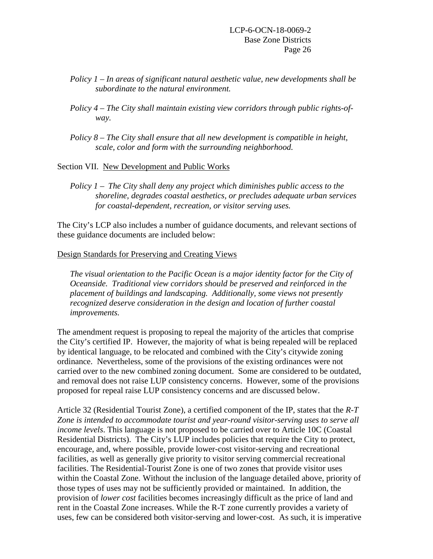- *Policy 1 – In areas of significant natural aesthetic value, new developments shall be subordinate to the natural environment.*
- *Policy 4 – The City shall maintain existing view corridors through public rights-ofway.*
- *Policy 8 – The City shall ensure that all new development is compatible in height, scale, color and form with the surrounding neighborhood.*

#### Section VII. New Development and Public Works

*Policy 1 – The City shall deny any project which diminishes public access to the shoreline, degrades coastal aesthetics, or precludes adequate urban services for coastal-dependent, recreation, or visitor serving uses.*

The City's LCP also includes a number of guidance documents, and relevant sections of these guidance documents are included below:

#### Design Standards for Preserving and Creating Views

*The visual orientation to the Pacific Ocean is a major identity factor for the City of Oceanside. Traditional view corridors should be preserved and reinforced in the placement of buildings and landscaping. Additionally, some views not presently recognized deserve consideration in the design and location of further coastal improvements.*

The amendment request is proposing to repeal the majority of the articles that comprise the City's certified IP. However, the majority of what is being repealed will be replaced by identical language, to be relocated and combined with the City's citywide zoning ordinance. Nevertheless, some of the provisions of the existing ordinances were not carried over to the new combined zoning document. Some are considered to be outdated, and removal does not raise LUP consistency concerns. However, some of the provisions proposed for repeal raise LUP consistency concerns and are discussed below.

Article 32 (Residential Tourist Zone), a certified component of the IP, states that the *R-T Zone is intended to accommodate tourist and year-round visitor-serving uses to serve all income levels*. This language is not proposed to be carried over to Article 10C (Coastal Residential Districts). The City's LUP includes policies that require the City to protect, encourage, and, where possible, provide lower-cost visitor-serving and recreational facilities, as well as generally give priority to visitor serving commercial recreational facilities. The Residential-Tourist Zone is one of two zones that provide visitor uses within the Coastal Zone. Without the inclusion of the language detailed above, priority of those types of uses may not be sufficiently provided or maintained. In addition, the provision of *lower cost* facilities becomes increasingly difficult as the price of land and rent in the Coastal Zone increases. While the R-T zone currently provides a variety of uses, few can be considered both visitor-serving and lower-cost. As such, it is imperative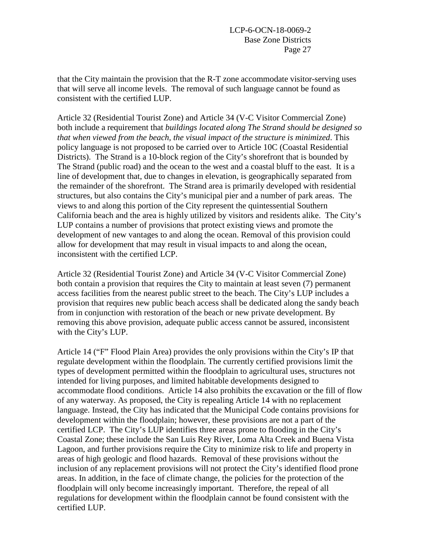that the City maintain the provision that the R-T zone accommodate visitor-serving uses that will serve all income levels. The removal of such language cannot be found as consistent with the certified LUP.

Article 32 (Residential Tourist Zone) and Article 34 (V-C Visitor Commercial Zone) both include a requirement that *buildings located along The Strand should be designed so that when viewed from the beach, the visual impact of the structure is minimized*. This policy language is not proposed to be carried over to Article 10C (Coastal Residential Districts). The Strand is a 10-block region of the City's shorefront that is bounded by The Strand (public road) and the ocean to the west and a coastal bluff to the east. It is a line of development that, due to changes in elevation, is geographically separated from the remainder of the shorefront. The Strand area is primarily developed with residential structures, but also contains the City's municipal pier and a number of park areas. The views to and along this portion of the City represent the quintessential Southern California beach and the area is highly utilized by visitors and residents alike. The City's LUP contains a number of provisions that protect existing views and promote the development of new vantages to and along the ocean. Removal of this provision could allow for development that may result in visual impacts to and along the ocean, inconsistent with the certified LCP.

Article 32 (Residential Tourist Zone) and Article 34 (V-C Visitor Commercial Zone) both contain a provision that requires the City to maintain at least seven (7) permanent access facilities from the nearest public street to the beach. The City's LUP includes a provision that requires new public beach access shall be dedicated along the sandy beach from in conjunction with restoration of the beach or new private development. By removing this above provision, adequate public access cannot be assured, inconsistent with the City's LUP.

Article 14 ("F" Flood Plain Area) provides the only provisions within the City's IP that regulate development within the floodplain. The currently certified provisions limit the types of development permitted within the floodplain to agricultural uses, structures not intended for living purposes, and limited habitable developments designed to accommodate flood conditions. Article 14 also prohibits the excavation or the fill of flow of any waterway. As proposed, the City is repealing Article 14 with no replacement language. Instead, the City has indicated that the Municipal Code contains provisions for development within the floodplain; however, these provisions are not a part of the certified LCP. The City's LUP identifies three areas prone to flooding in the City's Coastal Zone; these include the San Luis Rey River, Loma Alta Creek and Buena Vista Lagoon, and further provisions require the City to minimize risk to life and property in areas of high geologic and flood hazards. Removal of these provisions without the inclusion of any replacement provisions will not protect the City's identified flood prone areas. In addition, in the face of climate change, the policies for the protection of the floodplain will only become increasingly important. Therefore, the repeal of all regulations for development within the floodplain cannot be found consistent with the certified LUP.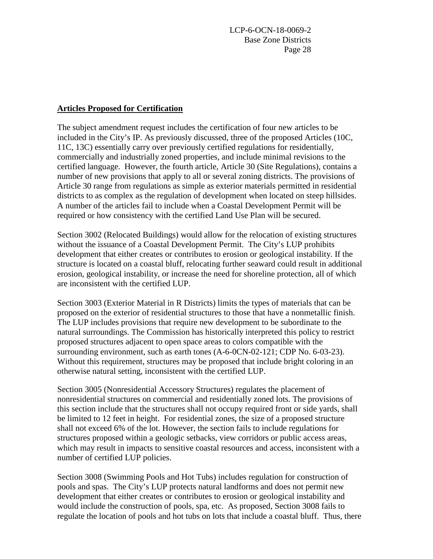### **Articles Proposed for Certification**

The subject amendment request includes the certification of four new articles to be included in the City's IP. As previously discussed, three of the proposed Articles (10C, 11C, 13C) essentially carry over previously certified regulations for residentially, commercially and industrially zoned properties, and include minimal revisions to the certified language. However, the fourth article, Article 30 (Site Regulations), contains a number of new provisions that apply to all or several zoning districts. The provisions of Article 30 range from regulations as simple as exterior materials permitted in residential districts to as complex as the regulation of development when located on steep hillsides. A number of the articles fail to include when a Coastal Development Permit will be required or how consistency with the certified Land Use Plan will be secured.

Section 3002 (Relocated Buildings) would allow for the relocation of existing structures without the issuance of a Coastal Development Permit. The City's LUP prohibits development that either creates or contributes to erosion or geological instability. If the structure is located on a coastal bluff, relocating further seaward could result in additional erosion, geological instability, or increase the need for shoreline protection, all of which are inconsistent with the certified LUP.

Section 3003 (Exterior Material in R Districts) limits the types of materials that can be proposed on the exterior of residential structures to those that have a nonmetallic finish. The LUP includes provisions that require new development to be subordinate to the natural surroundings. The Commission has historically interpreted this policy to restrict proposed structures adjacent to open space areas to colors compatible with the surrounding environment, such as earth tones (A-6-0CN-02-121; CDP No. 6-03-23). Without this requirement, structures may be proposed that include bright coloring in an otherwise natural setting, inconsistent with the certified LUP.

Section 3005 (Nonresidential Accessory Structures) regulates the placement of nonresidential structures on commercial and residentially zoned lots. The provisions of this section include that the structures shall not occupy required front or side yards, shall be limited to 12 feet in height. For residential zones, the size of a proposed structure shall not exceed 6% of the lot. However, the section fails to include regulations for structures proposed within a geologic setbacks, view corridors or public access areas, which may result in impacts to sensitive coastal resources and access, inconsistent with a number of certified LUP policies.

Section 3008 (Swimming Pools and Hot Tubs) includes regulation for construction of pools and spas. The City's LUP protects natural landforms and does not permit new development that either creates or contributes to erosion or geological instability and would include the construction of pools, spa, etc. As proposed, Section 3008 fails to regulate the location of pools and hot tubs on lots that include a coastal bluff. Thus, there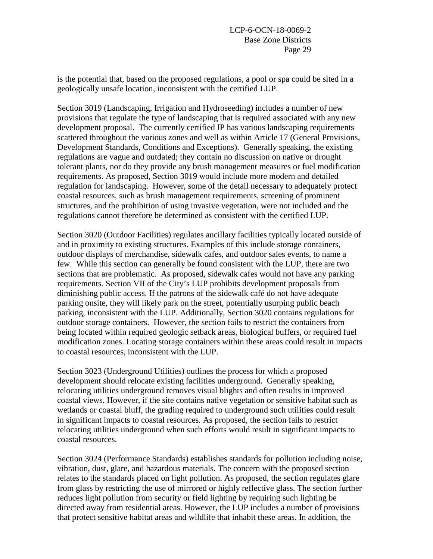is the potential that, based on the proposed regulations, a pool or spa could be sited in a geologically unsafe location, inconsistent with the certified LUP.

Section 3019 (Landscaping, Irrigation and Hydroseeding) includes a number of new provisions that regulate the type of landscaping that is required associated with any new development proposal. The currently certified IP has various landscaping requirements scattered throughout the various zones and well as within Article 17 (General Provisions, Development Standards, Conditions and Exceptions). Generally speaking, the existing regulations are vague and outdated; they contain no discussion on native or drought tolerant plants, nor do they provide any brush management measures or fuel modification requirements. As proposed, Section 3019 would include more modern and detailed regulation for landscaping. However, some of the detail necessary to adequately protect coastal resources, such as brush management requirements, screening of prominent structures, and the prohibition of using invasive vegetation, were not included and the regulations cannot therefore be determined as consistent with the certified LUP.

Section 3020 (Outdoor Facilities) regulates ancillary facilities typically located outside of and in proximity to existing structures. Examples of this include storage containers, outdoor displays of merchandise, sidewalk cafes, and outdoor sales events, to name a few. While this section can generally be found consistent with the LUP, there are two sections that are problematic. As proposed, sidewalk cafes would not have any parking requirements. Section VII of the City's LUP prohibits development proposals from diminishing public access. If the patrons of the sidewalk café do not have adequate parking onsite, they will likely park on the street, potentially usurping public beach parking, inconsistent with the LUP. Additionally, Section 3020 contains regulations for outdoor storage containers. However, the section fails to restrict the containers from being located within required geologic setback areas, biological buffers, or required fuel modification zones. Locating storage containers within these areas could result in impacts to coastal resources, inconsistent with the LUP.

Section 3023 (Underground Utilities) outlines the process for which a proposed development should relocate existing facilities underground. Generally speaking, relocating utilities underground removes visual blights and often results in improved coastal views. However, if the site contains native vegetation or sensitive habitat such as wetlands or coastal bluff, the grading required to underground such utilities could result in significant impacts to coastal resources. As proposed, the section fails to restrict relocating utilities underground when such efforts would result in significant impacts to coastal resources.

Section 3024 (Performance Standards) establishes standards for pollution including noise, vibration, dust, glare, and hazardous materials. The concern with the proposed section relates to the standards placed on light pollution. As proposed, the section regulates glare from glass by restricting the use of mirrored or highly reflective glass. The section further reduces light pollution from security or field lighting by requiring such lighting be directed away from residential areas. However, the LUP includes a number of provisions that protect sensitive habitat areas and wildlife that inhabit these areas. In addition, the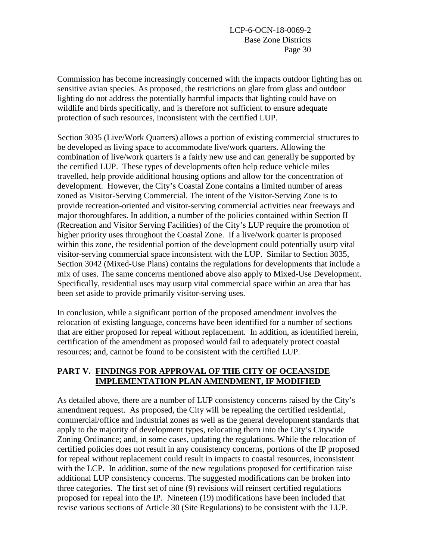Commission has become increasingly concerned with the impacts outdoor lighting has on sensitive avian species. As proposed, the restrictions on glare from glass and outdoor lighting do not address the potentially harmful impacts that lighting could have on wildlife and birds specifically, and is therefore not sufficient to ensure adequate protection of such resources, inconsistent with the certified LUP.

Section 3035 (Live/Work Quarters) allows a portion of existing commercial structures to be developed as living space to accommodate live/work quarters. Allowing the combination of live/work quarters is a fairly new use and can generally be supported by the certified LUP. These types of developments often help reduce vehicle miles travelled, help provide additional housing options and allow for the concentration of development. However, the City's Coastal Zone contains a limited number of areas zoned as Visitor-Serving Commercial. The intent of the Visitor-Serving Zone is to provide recreation-oriented and visitor-serving commercial activities near freeways and major thoroughfares. In addition, a number of the policies contained within Section II (Recreation and Visitor Serving Facilities) of the City's LUP require the promotion of higher priority uses throughout the Coastal Zone. If a live/work quarter is proposed within this zone, the residential portion of the development could potentially usurp vital visitor-serving commercial space inconsistent with the LUP. Similar to Section 3035, Section 3042 (Mixed-Use Plans) contains the regulations for developments that include a mix of uses. The same concerns mentioned above also apply to Mixed-Use Development. Specifically, residential uses may usurp vital commercial space within an area that has been set aside to provide primarily visitor-serving uses.

In conclusion, while a significant portion of the proposed amendment involves the relocation of existing language, concerns have been identified for a number of sections that are either proposed for repeal without replacement. In addition, as identified herein, certification of the amendment as proposed would fail to adequately protect coastal resources; and, cannot be found to be consistent with the certified LUP.

### **PART V. FINDINGS FOR APPROVAL OF THE CITY OF OCEANSIDE IMPLEMENTATION PLAN AMENDMENT, IF MODIFIED**

As detailed above, there are a number of LUP consistency concerns raised by the City's amendment request. As proposed, the City will be repealing the certified residential, commercial/office and industrial zones as well as the general development standards that apply to the majority of development types, relocating them into the City's Citywide Zoning Ordinance; and, in some cases, updating the regulations. While the relocation of certified policies does not result in any consistency concerns, portions of the IP proposed for repeal without replacement could result in impacts to coastal resources, inconsistent with the LCP. In addition, some of the new regulations proposed for certification raise additional LUP consistency concerns. The suggested modifications can be broken into three categories. The first set of nine (9) revisions will reinsert certified regulations proposed for repeal into the IP. Nineteen (19) modifications have been included that revise various sections of Article 30 (Site Regulations) to be consistent with the LUP.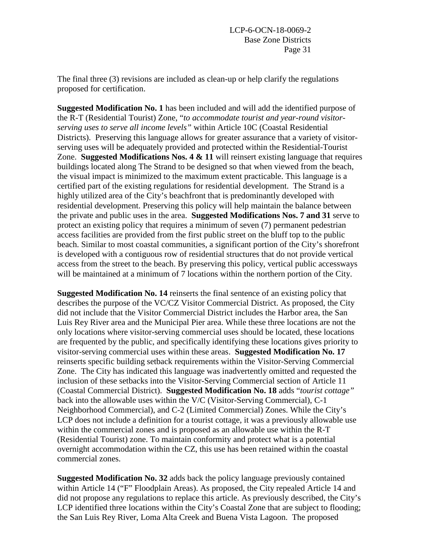The final three (3) revisions are included as clean-up or help clarify the regulations proposed for certification.

**Suggested Modification No. 1** has been included and will add the identified purpose of the R-T (Residential Tourist) Zone, "*to accommodate tourist and year-round visitorserving uses to serve all income levels"* within Article 10C (Coastal Residential Districts). Preserving this language allows for greater assurance that a variety of visitorserving uses will be adequately provided and protected within the Residential-Tourist Zone. **Suggested Modifications Nos. 4 & 11** will reinsert existing language that requires buildings located along The Strand to be designed so that when viewed from the beach, the visual impact is minimized to the maximum extent practicable. This language is a certified part of the existing regulations for residential development. The Strand is a highly utilized area of the City's beachfront that is predominantly developed with residential development. Preserving this policy will help maintain the balance between the private and public uses in the area. **Suggested Modifications Nos. 7 and 31** serve to protect an existing policy that requires a minimum of seven (7) permanent pedestrian access facilities are provided from the first public street on the bluff top to the public beach. Similar to most coastal communities, a significant portion of the City's shorefront is developed with a contiguous row of residential structures that do not provide vertical access from the street to the beach. By preserving this policy, vertical public accessways will be maintained at a minimum of 7 locations within the northern portion of the City.

**Suggested Modification No. 14** reinserts the final sentence of an existing policy that describes the purpose of the VC/CZ Visitor Commercial District. As proposed, the City did not include that the Visitor Commercial District includes the Harbor area, the San Luis Rey River area and the Municipal Pier area. While these three locations are not the only locations where visitor-serving commercial uses should be located, these locations are frequented by the public, and specifically identifying these locations gives priority to visitor-serving commercial uses within these areas. **Suggested Modification No. 17** reinserts specific building setback requirements within the Visitor-Serving Commercial Zone. The City has indicated this language was inadvertently omitted and requested the inclusion of these setbacks into the Visitor-Serving Commercial section of Article 11 (Coastal Commercial District). **Suggested Modification No. 18** adds "*tourist cottage"* back into the allowable uses within the V/C (Visitor-Serving Commercial), C-1 Neighborhood Commercial), and C-2 (Limited Commercial) Zones. While the City's LCP does not include a definition for a tourist cottage, it was a previously allowable use within the commercial zones and is proposed as an allowable use within the R-T (Residential Tourist) zone. To maintain conformity and protect what is a potential overnight accommodation within the CZ, this use has been retained within the coastal commercial zones.

**Suggested Modification No. 32** adds back the policy language previously contained within Article 14 ("F" Floodplain Areas). As proposed, the City repealed Article 14 and did not propose any regulations to replace this article. As previously described, the City's LCP identified three locations within the City's Coastal Zone that are subject to flooding; the San Luis Rey River, Loma Alta Creek and Buena Vista Lagoon. The proposed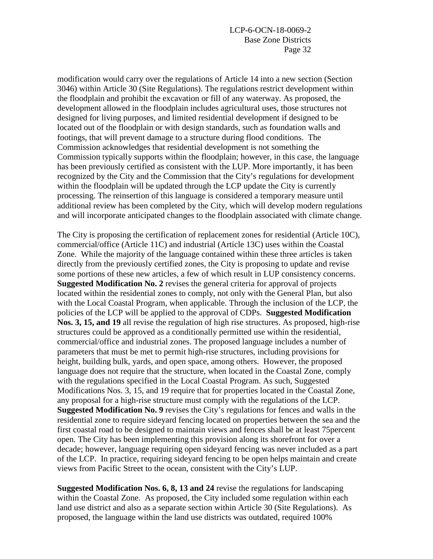modification would carry over the regulations of Article 14 into a new section (Section 3046) within Article 30 (Site Regulations). The regulations restrict development within the floodplain and prohibit the excavation or fill of any waterway. As proposed, the development allowed in the floodplain includes agricultural uses, those structures not designed for living purposes, and limited residential development if designed to be located out of the floodplain or with design standards, such as foundation walls and footings, that will prevent damage to a structure during flood conditions. The Commission acknowledges that residential development is not something the Commission typically supports within the floodplain; however, in this case, the language has been previously certified as consistent with the LUP. More importantly, it has been recognized by the City and the Commission that the City's regulations for development within the floodplain will be updated through the LCP update the City is currently processing. The reinsertion of this language is considered a temporary measure until additional review has been completed by the City, which will develop modern regulations and will incorporate anticipated changes to the floodplain associated with climate change.

The City is proposing the certification of replacement zones for residential (Article 10C), commercial/office (Article 11C) and industrial (Article 13C) uses within the Coastal Zone. While the majority of the language contained within these three articles is taken directly from the previously certified zones, the City is proposing to update and revise some portions of these new articles, a few of which result in LUP consistency concerns. **Suggested Modification No. 2** revises the general criteria for approval of projects located within the residential zones to comply, not only with the General Plan, but also with the Local Coastal Program, when applicable. Through the inclusion of the LCP, the policies of the LCP will be applied to the approval of CDPs. **Suggested Modification Nos. 3, 15, and 19** all revise the regulation of high rise structures. As proposed, high-rise structures could be approved as a conditionally permitted use within the residential, commercial/office and industrial zones. The proposed language includes a number of parameters that must be met to permit high-rise structures, including provisions for height, building bulk, yards, and open space, among others. However, the proposed language does not require that the structure, when located in the Coastal Zone, comply with the regulations specified in the Local Coastal Program. As such, Suggested Modifications Nos. 3, 15, and 19 require that for properties located in the Coastal Zone, any proposal for a high-rise structure must comply with the regulations of the LCP. **Suggested Modification No. 9** revises the City's regulations for fences and walls in the residential zone to require sideyard fencing located on properties between the sea and the first coastal road to be designed to maintain views and fences shall be at least 75percent open. The City has been implementing this provision along its shorefront for over a decade; however, language requiring open sideyard fencing was never included as a part of the LCP. In practice, requiring sideyard fencing to be open helps maintain and create views from Pacific Street to the ocean, consistent with the City's LUP.

**Suggested Modification Nos. 6, 8, 13 and 24** revise the regulations for landscaping within the Coastal Zone. As proposed, the City included some regulation within each land use district and also as a separate section within Article 30 (Site Regulations). As proposed, the language within the land use districts was outdated, required 100%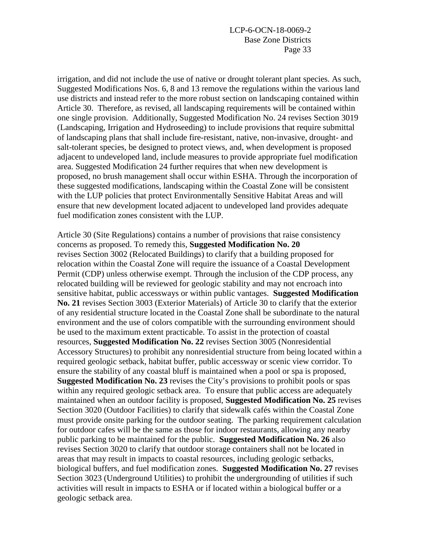irrigation, and did not include the use of native or drought tolerant plant species. As such, Suggested Modifications Nos. 6, 8 and 13 remove the regulations within the various land use districts and instead refer to the more robust section on landscaping contained within Article 30. Therefore, as revised, all landscaping requirements will be contained within one single provision. Additionally, Suggested Modification No. 24 revises Section 3019 (Landscaping, Irrigation and Hydroseeding) to include provisions that require submittal of landscaping plans that shall include fire-resistant, native, non-invasive, drought- and salt-tolerant species, be designed to protect views, and, when development is proposed adjacent to undeveloped land, include measures to provide appropriate fuel modification area. Suggested Modification 24 further requires that when new development is proposed, no brush management shall occur within ESHA. Through the incorporation of these suggested modifications, landscaping within the Coastal Zone will be consistent with the LUP policies that protect Environmentally Sensitive Habitat Areas and will ensure that new development located adjacent to undeveloped land provides adequate fuel modification zones consistent with the LUP.

Article 30 (Site Regulations) contains a number of provisions that raise consistency concerns as proposed. To remedy this, **Suggested Modification No. 20** revises Section 3002 (Relocated Buildings) to clarify that a building proposed for relocation within the Coastal Zone will require the issuance of a Coastal Development Permit (CDP) unless otherwise exempt. Through the inclusion of the CDP process, any relocated building will be reviewed for geologic stability and may not encroach into sensitive habitat, public accessways or within public vantages. **Suggested Modification No. 21** revises Section 3003 (Exterior Materials) of Article 30 to clarify that the exterior of any residential structure located in the Coastal Zone shall be subordinate to the natural environment and the use of colors compatible with the surrounding environment should be used to the maximum extent practicable. To assist in the protection of coastal resources, **Suggested Modification No. 22** revises Section 3005 (Nonresidential Accessory Structures) to prohibit any nonresidential structure from being located within a required geologic setback, habitat buffer, public accessway or scenic view corridor. To ensure the stability of any coastal bluff is maintained when a pool or spa is proposed, **Suggested Modification No. 23** revises the City's provisions to prohibit pools or spas within any required geologic setback area. To ensure that public access are adequately maintained when an outdoor facility is proposed, **Suggested Modification No. 25** revises Section 3020 (Outdoor Facilities) to clarify that sidewalk cafés within the Coastal Zone must provide onsite parking for the outdoor seating. The parking requirement calculation for outdoor cafes will be the same as those for indoor restaurants, allowing any nearby public parking to be maintained for the public. **Suggested Modification No. 26** also revises Section 3020 to clarify that outdoor storage containers shall not be located in areas that may result in impacts to coastal resources, including geologic setbacks, biological buffers, and fuel modification zones. **Suggested Modification No. 27** revises Section 3023 (Underground Utilities) to prohibit the undergrounding of utilities if such activities will result in impacts to ESHA or if located within a biological buffer or a geologic setback area.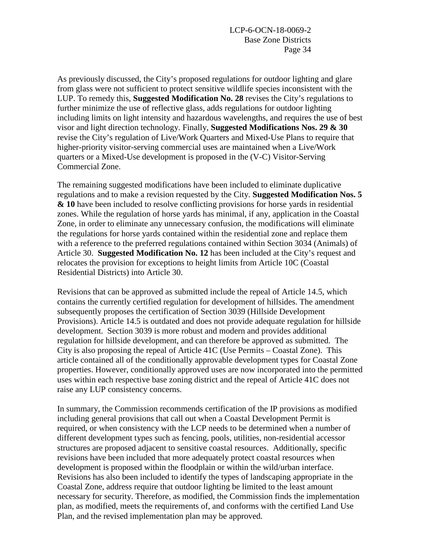As previously discussed, the City's proposed regulations for outdoor lighting and glare from glass were not sufficient to protect sensitive wildlife species inconsistent with the LUP. To remedy this, **Suggested Modification No. 28** revises the City's regulations to further minimize the use of reflective glass, adds regulations for outdoor lighting including limits on light intensity and hazardous wavelengths, and requires the use of best visor and light direction technology. Finally, **Suggested Modifications Nos. 29 & 30** revise the City's regulation of Live/Work Quarters and Mixed-Use Plans to require that higher-priority visitor-serving commercial uses are maintained when a Live/Work quarters or a Mixed-Use development is proposed in the (V-C) Visitor-Serving Commercial Zone.

The remaining suggested modifications have been included to eliminate duplicative regulations and to make a revision requested by the City. **Suggested Modification Nos. 5 & 10** have been included to resolve conflicting provisions for horse yards in residential zones. While the regulation of horse yards has minimal, if any, application in the Coastal Zone, in order to eliminate any unnecessary confusion, the modifications will eliminate the regulations for horse yards contained within the residential zone and replace them with a reference to the preferred regulations contained within Section 3034 (Animals) of Article 30. **Suggested Modification No. 12** has been included at the City's request and relocates the provision for exceptions to height limits from Article 10C (Coastal Residential Districts) into Article 30.

Revisions that can be approved as submitted include the repeal of Article 14.5, which contains the currently certified regulation for development of hillsides. The amendment subsequently proposes the certification of Section 3039 (Hillside Development Provisions). Article 14.5 is outdated and does not provide adequate regulation for hillside development. Section 3039 is more robust and modern and provides additional regulation for hillside development, and can therefore be approved as submitted. The City is also proposing the repeal of Article 41C (Use Permits – Coastal Zone). This article contained all of the conditionally approvable development types for Coastal Zone properties. However, conditionally approved uses are now incorporated into the permitted uses within each respective base zoning district and the repeal of Article 41C does not raise any LUP consistency concerns.

In summary, the Commission recommends certification of the IP provisions as modified including general provisions that call out when a Coastal Development Permit is required, or when consistency with the LCP needs to be determined when a number of different development types such as fencing, pools, utilities, non-residential accessor structures are proposed adjacent to sensitive coastal resources. Additionally, specific revisions have been included that more adequately protect coastal resources when development is proposed within the floodplain or within the wild/urban interface. Revisions has also been included to identify the types of landscaping appropriate in the Coastal Zone, address require that outdoor lighting be limited to the least amount necessary for security. Therefore, as modified, the Commission finds the implementation plan, as modified, meets the requirements of, and conforms with the certified Land Use Plan, and the revised implementation plan may be approved.